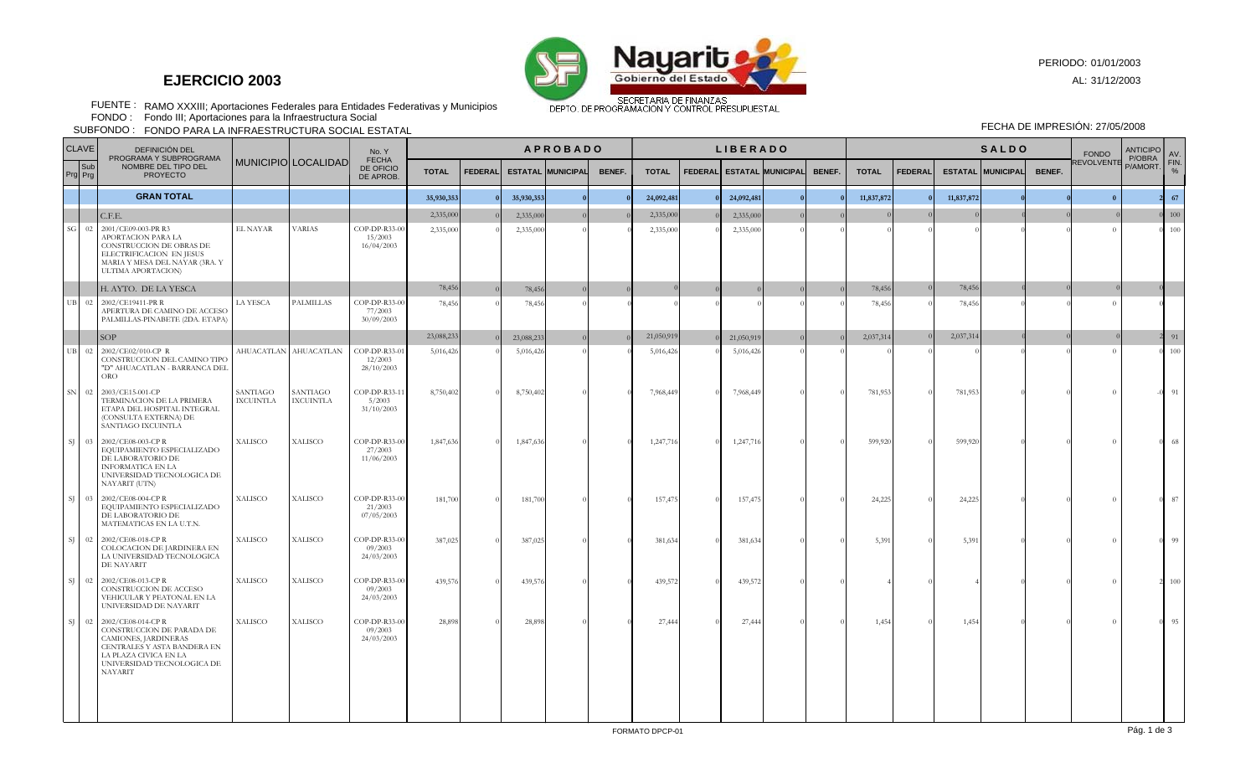

## **EJERCICIO 2003**

PERIODO: 01/01/2003

AL: 31/12/2003

RAMO XXXIII; Aportaciones Federales para Entidades Federativas y Municipios FUENTE : FONDO :

Fondo III; Aportaciones para la Infraestructura Social

FONDO PARA LA INFRAESTRUCTURA SOCIAL ESTATAL SUBFONDO : FECHA DE IMPRESIÓN: 27/05/2008

|                | <b>CLAVE</b><br>DEFINICIÓN DEL                                                     |                                                                                                                                                                                   |                              |                              | No. Y<br><b>FECHA</b><br>DE OFICIO<br>DE APROB. | <b>APROBADO</b> |  |                          |        |              | <b>LIBERADO</b> |                                  |            |               |              | <b>SALDO</b>   |  |                          |        |                     | <b>FONDO</b> | <b>ANTICIPO</b><br>P/OBRA | AV   |
|----------------|------------------------------------------------------------------------------------|-----------------------------------------------------------------------------------------------------------------------------------------------------------------------------------|------------------------------|------------------------------|-------------------------------------------------|-----------------|--|--------------------------|--------|--------------|-----------------|----------------------------------|------------|---------------|--------------|----------------|--|--------------------------|--------|---------------------|--------------|---------------------------|------|
|                | PROGRAMA Y SUBPROGRAMA<br>Sub<br>NOMBRE DEL TIPO DEL<br>Prg Prg<br><b>PROYECTO</b> |                                                                                                                                                                                   | MUNICIPIO LOCALIDAD          | <b>TOTAL</b>                 |                                                 | <b>FEDERAL</b>  |  | <b>ESTATAL MUNICIPAL</b> | BENEF. | <b>TOTAL</b> |                 | <b>FEDERAL ESTATAL MUNICIPAL</b> |            | <b>BENEF.</b> | <b>TOTAL</b> | <b>FEDERAL</b> |  | <b>ESTATAL MUNICIPAL</b> | BENEF. | REVOLVENTE P/AMORT. |              | FIN.<br>$\frac{9}{6}$     |      |
|                |                                                                                    | <b>GRAN TOTAL</b>                                                                                                                                                                 |                              |                              |                                                 | 35,930,353      |  | 35,930,353               |        |              | 24,092,481      |                                  | 24,092,481 |               |              | 11,837,872     |  | 11,837,872               |        |                     | $\theta$     |                           | 67   |
|                |                                                                                    | C.F.E.                                                                                                                                                                            |                              |                              |                                                 | 2.335,000       |  | 2,335,00                 |        |              | 2,335,000       |                                  | 2,335,000  |               |              |                |  |                          |        |                     |              |                           | 100  |
| $SG$           | 02                                                                                 | 2001/CE09-003-PR R3<br>APORTACION PARA LA<br>CONSTRUCCION DE OBRAS DE<br>ELECTRIFICACION EN JESUS<br>MARIA Y MESA DEL NAYAR (3RA. Y<br><b>ULTIMA APORTACION)</b>                  | EL NAYAR                     | <b>VARIAS</b>                | COP-DP-R33-00<br>15/2003<br>16/04/2003          | 2,335,000       |  | 2,335,000                |        |              | 2,335,000       |                                  | 2,335,000  |               |              |                |  |                          |        |                     |              |                           | 100  |
|                |                                                                                    | H. AYTO. DE LA YESCA                                                                                                                                                              |                              |                              |                                                 | 78,456          |  | 78,456                   |        |              |                 |                                  |            |               |              | 78,456         |  | 78,456                   |        |                     |              |                           |      |
| $_{\rm UB}$    | 02                                                                                 | 2002/CE19411-PR R<br>APERTURA DE CAMINO DE ACCESO<br>PALMILLAS-PINABETE (2DA. ETAPA)                                                                                              | LA YESCA                     | <b>PALMILLAS</b>             | COP-DP-R33-00<br>77/2003<br>30/09/2003          | 78,456          |  | 78,45                    |        |              |                 |                                  |            |               |              | 78,456         |  | 78,456                   |        |                     | $\Omega$     |                           |      |
|                |                                                                                    | SOP                                                                                                                                                                               |                              |                              |                                                 | 23,088,233      |  | 23,088,233               |        |              | 21,050,919      |                                  | 21,050,919 |               |              | 2,037,314      |  | 2,037,314                |        |                     |              |                           | 91   |
| $_{\rm UB}$    | 02                                                                                 | 2002/CE02/010-CP R<br>CONSTRUCCION DEL CAMINO TIPO<br>"D" AHUACATLAN - BARRANCA DEL<br><b>ORO</b>                                                                                 |                              | AHUACATLAN AHUACATLAN        | COP-DP-R33-07<br>12/2003<br>28/10/2003          | 5,016,426       |  | 5,016,42                 |        |              | 5,016,426       |                                  | 5,016,426  |               |              |                |  |                          |        |                     |              |                           | 100  |
| SN             |                                                                                    | 02 2003/CE15-001-CP<br>TERMINACION DE LA PRIMERA<br>ETAPA DEL HOSPITAL INTEGRAL<br>(CONSULTA EXTERNA) DE<br>SANTIAGO IXCUINTLA                                                    | SANTIAGO<br><b>IXCUINTLA</b> | SANTIAGO<br><b>IXCUINTLA</b> | COP-DP-R33-12<br>5/2003<br>31/10/2003           | 8,750,402       |  | 8,750,40                 |        |              | 7,968,449       |                                  | 7,968,449  |               |              | 781,953        |  | 781,953                  |        |                     |              |                           | 91   |
| SJ.            | 03                                                                                 | 2002/CE08-003-CPR<br>EQUIPAMIENTO ESPECIALIZADO<br>DE LABORATORIO DE<br>INFORMATICA EN LA<br>UNIVERSIDAD TECNOLOGICA DE<br>NAYARIT (UTN)                                          | <b>XALISCO</b>               | <b>XALISCO</b>               | COP-DP-R33-00<br>27/2003<br>11/06/2003          | 1,847,636       |  | 1,847,636                |        |              | 1,247,716       |                                  | 1,247,716  |               |              | 599,920        |  | 599,920                  |        |                     |              |                           | 68   |
| SJ.            | 03                                                                                 | 2002/CE08-004-CP R<br>EQUIPAMIENTO ESPECIALIZADO<br>DE LABORATORIO DE<br>MATEMATICAS EN LA U.T.N.                                                                                 | XALISCO                      | <b>XALISCO</b>               | COP-DP-R33-00<br>21/2003<br>07/05/2003          | 181,700         |  | 181,70                   |        |              | 157,475         |                                  | 157,47     |               |              | 24,225         |  | 24,225                   |        |                     |              |                           | 87   |
| SI             |                                                                                    | 02 2002/CE08-018-CPR<br>COLOCACION DE JARDINERA EN<br>LA UNIVERSIDAD TECNOLOGICA<br>DE NAYARIT                                                                                    | <b>XALISCO</b>               | <b>XALISCO</b>               | COP-DP-R33-00<br>09/2003<br>24/03/2003          | 387,025         |  | 387,025                  |        |              | 381,634         |                                  | 381,634    |               |              | 5,391          |  | 5,391                    |        |                     |              |                           | - 99 |
| <sup>S</sup> I | 02                                                                                 | 2002/CE08-013-CPR<br>CONSTRUCCION DE ACCESO<br>VEHICULAR Y PEATONAL EN LA<br>UNIVERSIDAD DE NAYARIT                                                                               | <b>XALISCO</b>               | <b>XALISCO</b>               | COP-DP-R33-00<br>09/2003<br>24/03/2003          | 439,576         |  | 439,57                   |        |              | 439,572         |                                  | 439,572    |               |              |                |  |                          |        |                     |              |                           | 100  |
| SJ.            |                                                                                    | 02 2002/CE08-014-CPR<br>CONSTRUCCION DE PARADA DE<br>CAMIONES, JARDINERAS<br>CENTRALES Y ASTA BANDERA EN<br>LA PLAZA CIVICA EN LA<br>UNIVERSIDAD TECNOLOGICA DE<br><b>NAYARIT</b> | <b>XALISCO</b>               | <b>XALISCO</b>               | COP-DP-R33-00<br>09/2003<br>24/03/2003          | 28,898          |  | 28,89                    |        |              | 27,444          |                                  | 27,444     |               |              | 1,454          |  | 1,454                    |        |                     |              |                           | 95   |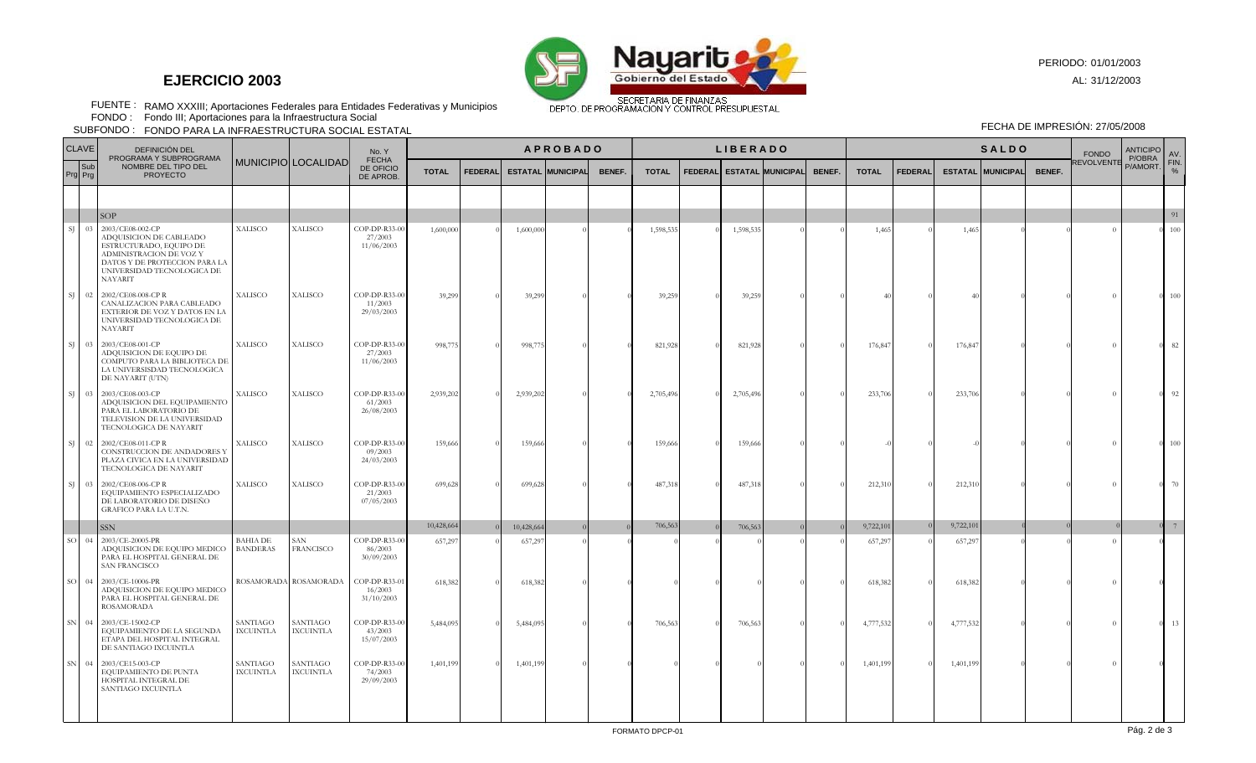

## **EJERCICIO 2003**

PERIODO: 01/01/2003

AL: 31/12/2003

RAMO XXXIII; Aportaciones Federales para Entidades Federativas y Municipios FUENTE : FONDO :

Fondo III; Aportaciones para la Infraestructura Social

FONDO PARA LA INFRAESTRUCTURA SOCIAL ESTATAL SUBFONDO : FECHA DE IMPRESIÓN: 27/05/2008

| <b>CLAVE</b> |           | DEFINICIÓN DEL                                                                                                                                                              |                                    |                              | No. Y                                  | <b>APROBADO</b><br><b>LIBERADO</b> |                |           |                          |        |              |  |                                  |  |        |              |                | <b>SALDO</b> |                          | <b>FONDO</b> | <b>ANTICIPO</b><br>P/OBRA | AV. |            |
|--------------|-----------|-----------------------------------------------------------------------------------------------------------------------------------------------------------------------------|------------------------------------|------------------------------|----------------------------------------|------------------------------------|----------------|-----------|--------------------------|--------|--------------|--|----------------------------------|--|--------|--------------|----------------|--------------|--------------------------|--------------|---------------------------|-----|------------|
| Prg Prg      | Sub       | PROGRAMA Y SUBPROGRAMA<br>NOMBRE DEL TIPO DEL<br><b>PROYECTO</b>                                                                                                            |                                    | MUNICIPIO LOCALIDAD          | <b>FECHA</b><br>DE OFICIO<br>DE APROB. | <b>TOTAL</b>                       | <b>FEDERAL</b> |           | <b>ESTATAL MUNICIPAL</b> | BENEF. | <b>TOTAL</b> |  | <b>FEDERAL ESTATAL MUNICIPAL</b> |  | BENEF. | <b>TOTAL</b> | <b>FEDERAL</b> |              | <b>ESTATAL MUNICIPAL</b> | BENEF.       | REVOLVENTE P/AMORT.       |     | FIN.<br>O/ |
|              |           |                                                                                                                                                                             |                                    |                              |                                        |                                    |                |           |                          |        |              |  |                                  |  |        |              |                |              |                          |              |                           |     |            |
|              |           | SOP                                                                                                                                                                         |                                    |                              |                                        |                                    |                |           |                          |        |              |  |                                  |  |        |              |                |              |                          |              |                           |     | 91         |
| SJ.          | 03        | 2003/CE08-002-CP<br>ADQUISICION DE CABLEADO<br>ESTRUCTURADO, EQUIPO DE<br>ADMINISTRACION DE VOZ Y<br>DATOS Y DE PROTECCION PARA LA<br>UNIVERSIDAD TECNOLOGICA DE<br>NAYARIT | XALISCO                            | XALISCO                      | COP-DP-R33-00<br>27/2003<br>11/06/2003 | 1,600,000                          |                | 1,600,000 |                          |        | 1,598,535    |  | 1,598,535                        |  |        | 1,465        |                | 1,465        |                          |              | $\Omega$                  |     | 100        |
| SJ.          |           | 02 2002/CE08-008-CPR<br>CANALIZACION PARA CABLEADO<br>EXTERIOR DE VOZ Y DATOS EN LA<br>UNIVERSIDAD TECNOLOGICA DE<br><b>NAYARIT</b>                                         | XALISCO                            | XALISCO                      | COP-DP-R33-00<br>11/2003<br>29/03/2003 | 39,299                             |                | 39,29     |                          |        | 39,259       |  | 39,259                           |  |        |              |                |              |                          |              |                           |     | 100        |
| SJ.          | 03        | 2003/CE08-001-CP<br>ADQUISICION DE EQUIPO DE<br>COMPUTO PARA LA BIBLIOTECA DE<br>LA UNIVERSISDAD TECNOLOGICA<br>DE NAYARIT (UTN)                                            | <b>XALISCO</b>                     | <b>XALISCO</b>               | COP-DP-R33-00<br>27/2003<br>11/06/2003 | 998,775                            |                | 998,77    |                          |        | 821,928      |  | 821,928                          |  |        | 176,847      |                | 176,847      |                          |              |                           |     | 82         |
|              | $SJ = 03$ | 2003/CE08-003-CP<br>ADQUISICION DEL EQUIPAMIENTO<br>PARA EL LABORATORIO DE<br>TELEVISION DE LA UNIVERSIDAD<br>TECNOLOGICA DE NAYARIT                                        | <b>XALISCO</b>                     | <b>XALISCO</b>               | COP-DP-R33-00<br>61/2003<br>26/08/2003 | 2,939,202                          |                | 2,939,202 |                          |        | 2,705,496    |  | 2,705,496                        |  |        | 233,706      |                | 233,706      |                          |              | $\Omega$                  |     | 92         |
| SJ           |           | 02 2002/CE08-011-CPR<br>CONSTRUCCION DE ANDADORES Y<br>PLAZA CIVICA EN LA UNIVERSIDAD<br>TECNOLOGICA DE NAYARIT                                                             | XALISCO                            | <b>XALISCO</b>               | COP-DP-R33-00<br>09/2003<br>24/03/2003 | 159,666                            |                | 159,666   |                          |        | 159,666      |  | 159,666                          |  |        |              |                |              |                          |              |                           |     | 100        |
| SJ           | 03        | 2002/CE08-006-CP R<br>EQUIPAMIENTO ESPECIALIZADO<br>DE LABORATORIO DE DISEÑO<br>GRAFICO PARA LA U.T.N.                                                                      | XALISCO                            | <b>XALISCO</b>               | COP-DP-R33-00<br>21/2003<br>07/05/2003 | 699,628                            |                | 699,628   |                          |        | 487,318      |  | 487,318                          |  |        | 212,310      |                | 212,310      |                          |              |                           |     | 70         |
|              |           | <b>SSN</b>                                                                                                                                                                  |                                    |                              |                                        | 10,428,664                         |                | 10,428,66 |                          |        | 706,563      |  | 706,563                          |  |        | 9,722,101    |                | 9,722,101    |                          |              |                           |     | 7          |
| sol          | 04        | 2003/CE-20005-PR<br>ADQUISICION DE EQUIPO MEDICO<br>PARA EL HOSPITAL GENERAL DE<br><b>SAN FRANCISCO</b>                                                                     | <b>BAHIA DE</b><br><b>BANDERAS</b> | SAN<br><b>FRANCISCO</b>      | COP-DP-R33-00<br>86/2003<br>30/09/2003 | 657,297                            |                | 657,29    |                          |        |              |  |                                  |  |        | 657,297      |                | 657,297      |                          |              | $\Omega$                  |     |            |
| $SO = 04$    |           | 2003/CE-10006-PR<br>ADQUISICION DE EQUIPO MEDICO<br>PARA EL HOSPITAL GENERAL DE<br><b>ROSAMORADA</b>                                                                        |                                    | ROSAMORADA ROSAMORADA        | COP-DP-R33-01<br>16/2003<br>31/10/2003 | 618,382                            |                | 618,382   |                          |        |              |  |                                  |  |        | 618,382      |                | 618,382      |                          |              |                           |     |            |
| ${\rm SN}$   | 04        | 2003/CE-15002-CP<br>EQUIPAMIENTO DE LA SEGUNDA<br>ETAPA DEL HOSPITAL INTEGRAL<br>DE SANTIAGO IXCUINTLA                                                                      | SANTIAGO<br><b>IXCUINTLA</b>       | SANTIAGO<br><b>IXCUINTLA</b> | COP-DP-R33-00<br>43/2003<br>15/07/2003 | 5,484,095                          |                | 5,484,095 |                          |        | 706,563      |  | 706,563                          |  |        | 4,777,532    |                | 4,777,532    |                          |              |                           |     | 13         |
| ${\rm SN}$   | 04        | 2003/CE15-003-CP<br>EQUIPAMIENTO DE PUNTA<br>HOSPITAL INTEGRAL DE<br>SANTIAGO IXCUINTLA                                                                                     | SANTIAGO<br>IXCUINTLA              | SANTIAGO<br><b>IXCUINTLA</b> | COP-DP-R33-00<br>74/2003<br>29/09/2003 | 1,401,199                          |                | 1,401,199 |                          |        |              |  |                                  |  |        | 1,401,199    |                | 1,401,199    |                          |              |                           |     |            |